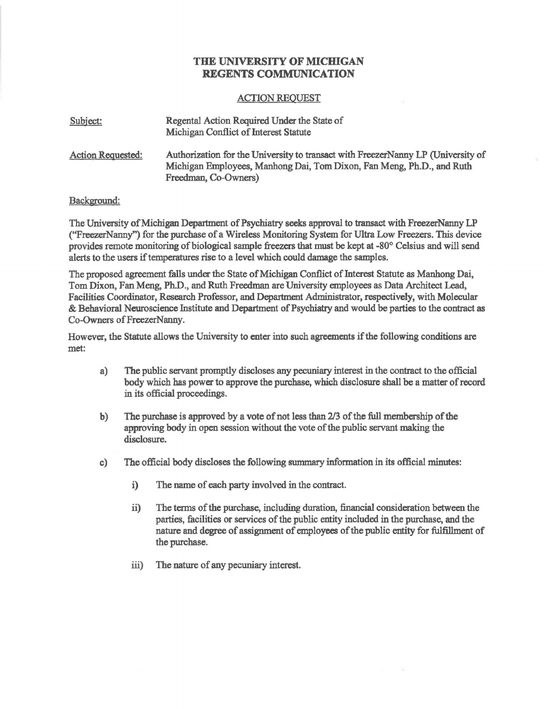## THE UNIVERSITY OF MICHIGAN REGENTS COMMUNICATION

## ACTION REQUEST

| Subject:                 | Regental Action Required Under the State of<br>Michigan Conflict of Interest Statute                                                                                              |
|--------------------------|-----------------------------------------------------------------------------------------------------------------------------------------------------------------------------------|
| <b>Action Requested:</b> | Authorization for the University to transact with FreezerNanny LP (University of<br>Michigan Employees, Manhong Dai, Tom Dixon, Fan Meng, Ph.D., and Ruth<br>Freedman, Co-Owners) |

## Background:

The University of Michigan Department of Psychiatry seeks approval to transact with Freezer Nanny LP ("Freezer Nanny") for the purchase of a Wireless Monitoring System for Ultra Low Freezers. This device provides remote monitoring of biological sample freezers that must be kept at -80° Celsius and will send alerts to the users if temperatures rise to a level which could damage the samples.

The proposed agreement falls under the State of Michigan Conflict of Interest Statute as Manhong Dai, Tom Dixon, Fan Meng, Ph.D., and Ruth Freedman are University employees as Data Architect Lead, Facilities Coordinator, Research Professor, and Department Administrator, respectively, with Molecular & Behavioral Neuroscience Institute and Department of Psychiatry and would be parties to the contract as Co-Owners of FreezerNanny.

However, the Statute allows the University to enter into such agreements ifthe following conditions are met:

- a) The public servant promptly discloses any pecuniary interest in the contract to the official body which has power to approve the purchase, which disclosure shall be a matter of record in its official proceedings.
- b) The purchase is approved by a vote of not less than 2/3 of the full membership of the approving body in open session without the vote of the public servant making the disclosure.
- c) The official body discloses the following summary information in its official minutes:
	- i) The name of each party involved in the contract.
	- ii) The terms of the purchase, including duration, financial consideration between the parties, facilities or services of the public entity included in the purchase, and the nature and degree of assignment of employees of the public entity for fulfillment of the purchase.
	- iii) The nature of any pecuniary interest.